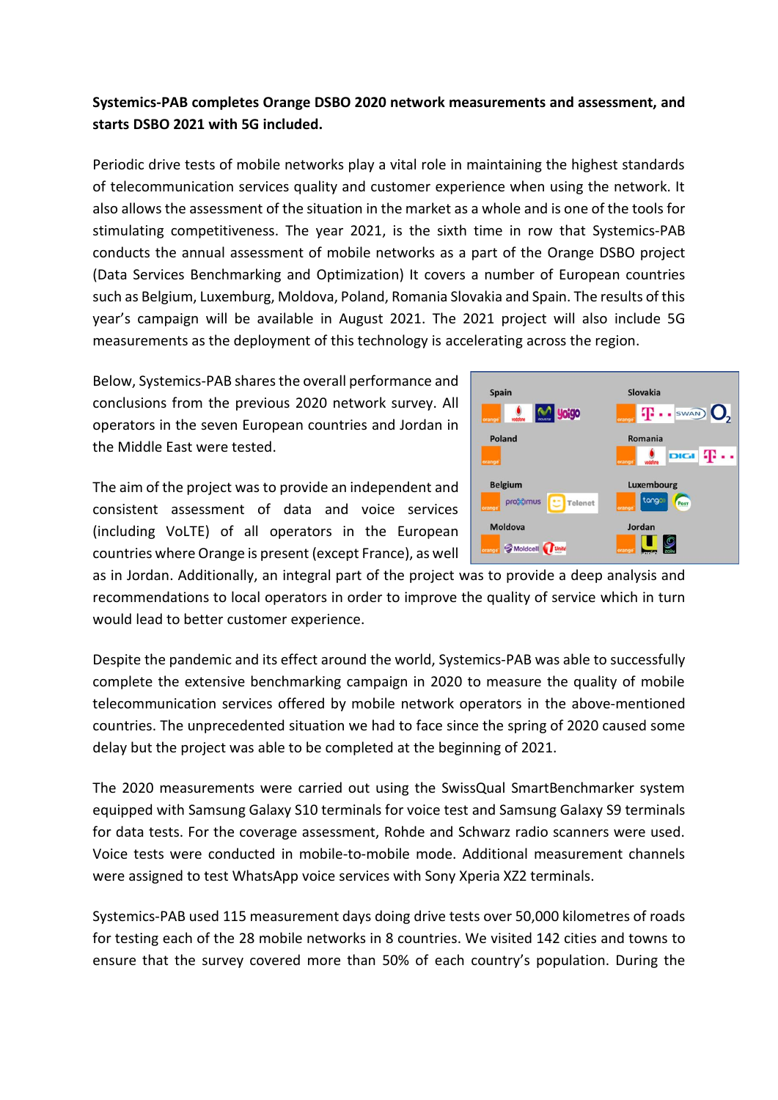## **Systemics-PAB completes Orange DSBO 2020 network measurements and assessment, and starts DSBO 2021 with 5G included.**

Periodic drive tests of mobile networks play a vital role in maintaining the highest standards of telecommunication services quality and customer experience when using the network. It also allows the assessment of the situation in the market as a whole and is one of the tools for stimulating competitiveness. The year 2021, is the sixth time in row that Systemics-PAB conducts the annual assessment of mobile networks as a part of the Orange DSBO project (Data Services Benchmarking and Optimization) It covers a number of European countries such as Belgium, Luxemburg, Moldova, Poland, Romania Slovakia and Spain. The results of this year's campaign will be available in August 2021. The 2021 project will also include 5G measurements as the deployment of this technology is accelerating across the region.

Below, Systemics-PAB shares the overall performance and conclusions from the previous 2020 network survey. All operators in the seven European countries and Jordan in the Middle East were tested.

The aim of the project was to provide an independent and consistent assessment of data and voice services (including VoLTE) of all operators in the European countries where Orange is present (except France), as well



as in Jordan. Additionally, an integral part of the project was to provide a deep analysis and recommendations to local operators in order to improve the quality of service which in turn would lead to better customer experience.

Despite the pandemic and its effect around the world, Systemics-PAB was able to successfully complete the extensive benchmarking campaign in 2020 to measure the quality of mobile telecommunication services offered by mobile network operators in the above-mentioned countries. The unprecedented situation we had to face since the spring of 2020 caused some delay but the project was able to be completed at the beginning of 2021.

The 2020 measurements were carried out using the SwissQual SmartBenchmarker system equipped with Samsung Galaxy S10 terminals for voice test and Samsung Galaxy S9 terminals for data tests. For the coverage assessment, Rohde and Schwarz radio scanners were used. Voice tests were conducted in mobile-to-mobile mode. Additional measurement channels were assigned to test WhatsApp voice services with Sony Xperia XZ2 terminals.

Systemics-PAB used 115 measurement days doing drive tests over 50,000 kilometres of roads for testing each of the 28 mobile networks in 8 countries. We visited 142 cities and towns to ensure that the survey covered more than 50% of each country's population. During the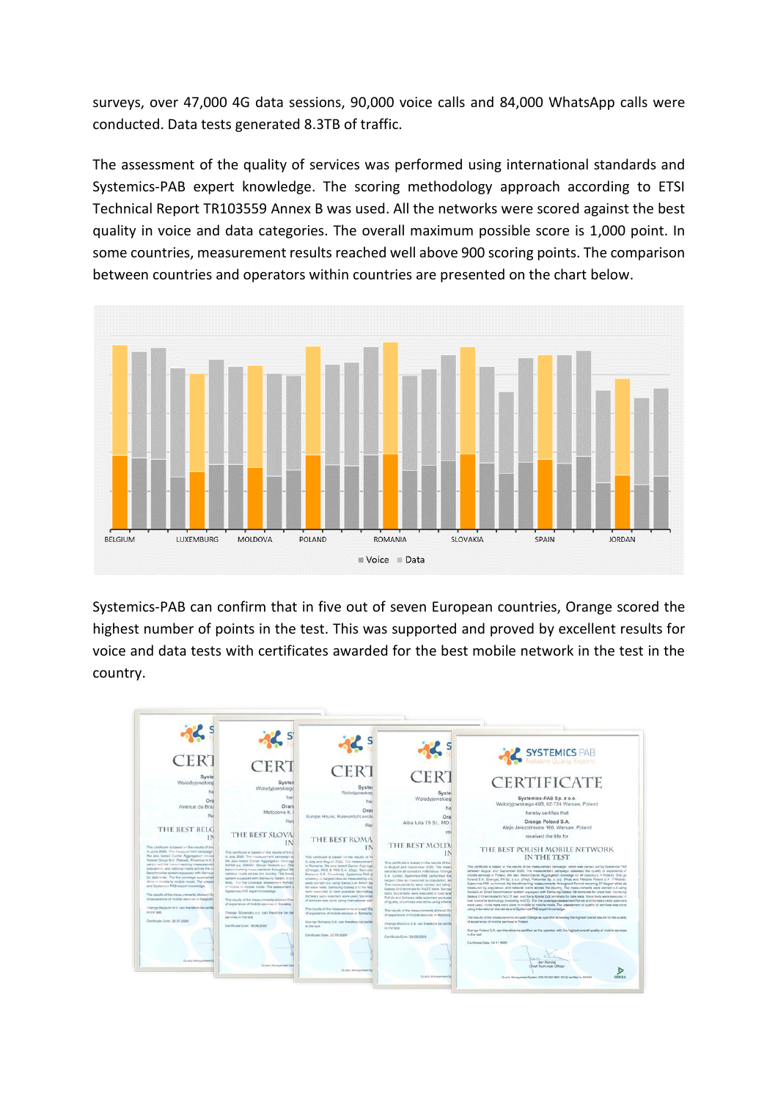surveys, over 47,000 4G data sessions, 90,000 voice calls and 84,000 WhatsApp calls were conducted. Data tests generated 8.3TB of traffic.

The assessment of the quality of services was performed using international standards and Systemics-PAB expert knowledge. The scoring methodology approach according to ETSI Technical Report TR103559 Annex B was used. All the networks were scored against the best quality in voice and data categories. The overall maximum possible score is 1,000 point. In some countries, measurement results reached well above 900 scoring points. The comparison between countries and operators within countries are presented on the chart below.



Systemics-PAB can confirm that in five out of seven European countries, Orange scored the highest number of points in the test. This was supported and proved by excellent results for voice and data tests with certificates awarded for the best mobile network in the test in the country.

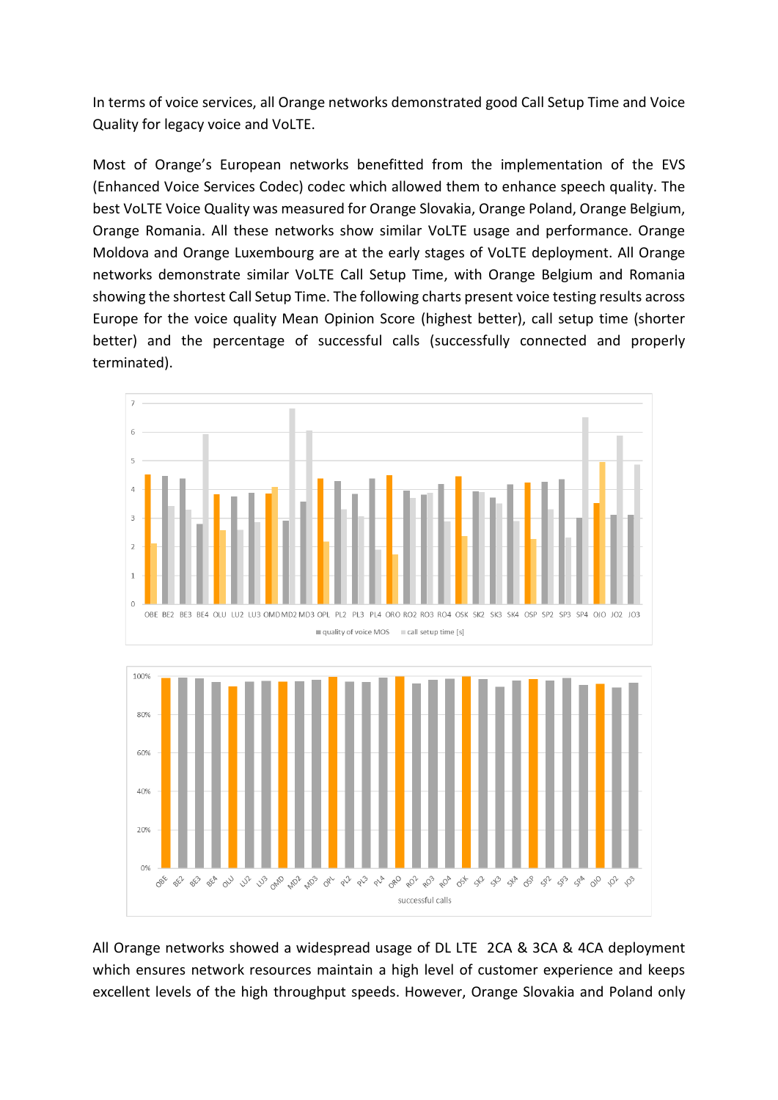In terms of voice services, all Orange networks demonstrated good Call Setup Time and Voice Quality for legacy voice and VoLTE.

Most of Orange's European networks benefitted from the implementation of the EVS (Enhanced Voice Services Codec) codec which allowed them to enhance speech quality. The best VoLTE Voice Quality was measured for Orange Slovakia, Orange Poland, Orange Belgium, Orange Romania. All these networks show similar VoLTE usage and performance. Orange Moldova and Orange Luxembourg are at the early stages of VoLTE deployment. All Orange networks demonstrate similar VoLTE Call Setup Time, with Orange Belgium and Romania showing the shortest Call Setup Time. The following charts present voice testing results across Europe for the voice quality Mean Opinion Score (highest better), call setup time (shorter better) and the percentage of successful calls (successfully connected and properly terminated).



All Orange networks showed a widespread usage of DL LTE 2CA & 3CA & 4CA deployment which ensures network resources maintain a high level of customer experience and keeps excellent levels of the high throughput speeds. However, Orange Slovakia and Poland only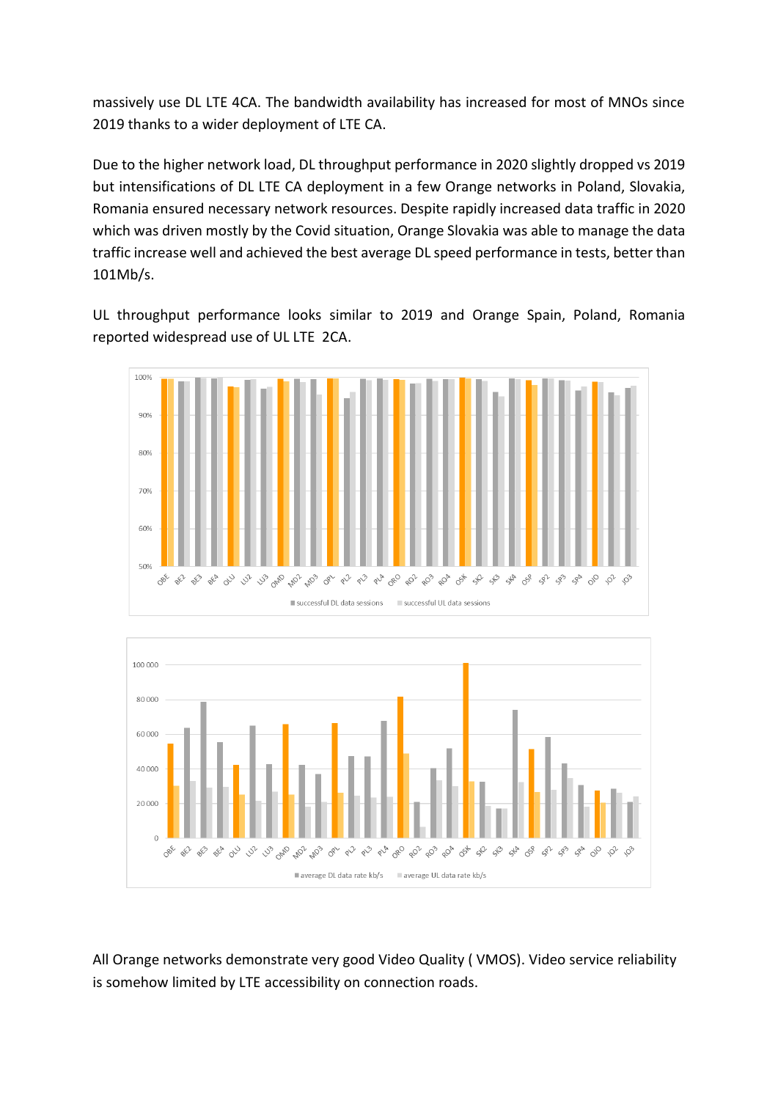massively use DL LTE 4CA. The bandwidth availability has increased for most of MNOs since 2019 thanks to a wider deployment of LTE CA.

Due to the higher network load, DL throughput performance in 2020 slightly dropped vs 2019 but intensifications of DL LTE CA deployment in a few Orange networks in Poland, Slovakia, Romania ensured necessary network resources. Despite rapidly increased data traffic in 2020 which was driven mostly by the Covid situation, Orange Slovakia was able to manage the data traffic increase well and achieved the best average DL speed performance in tests, better than 101Mb/s.

UL throughput performance looks similar to 2019 and Orange Spain, Poland, Romania reported widespread use of UL LTE 2CA.





All Orange networks demonstrate very good Video Quality ( VMOS). Video service reliability is somehow limited by LTE accessibility on connection roads.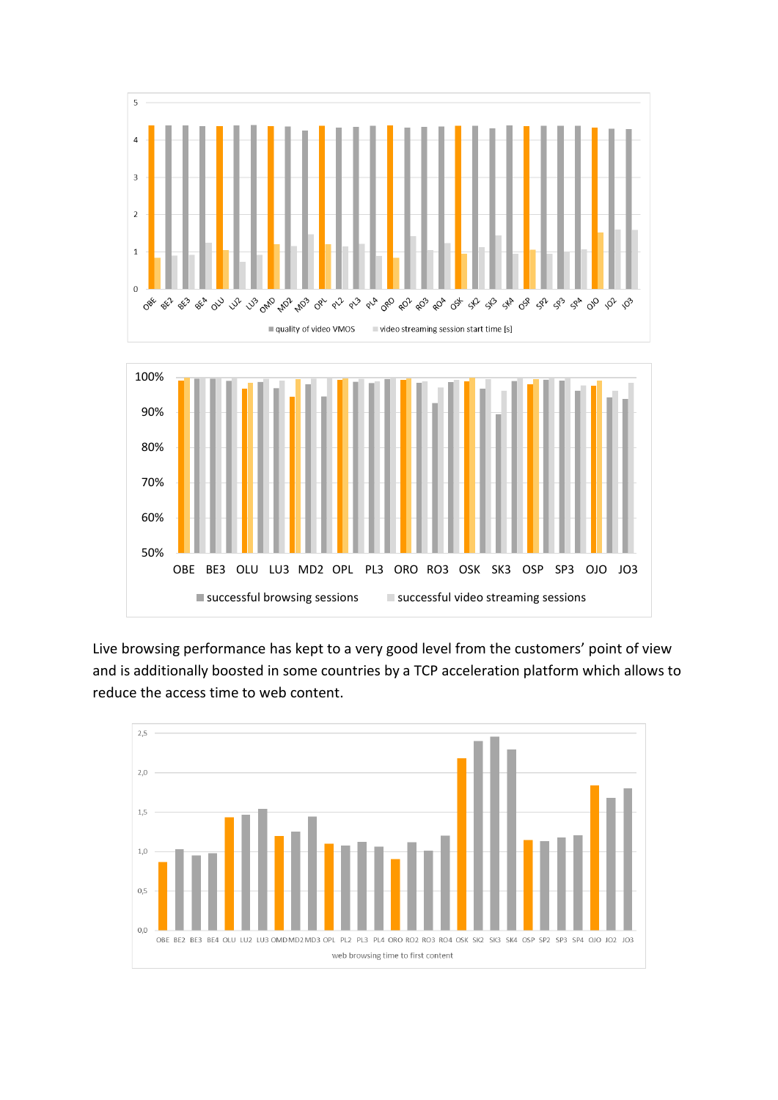

Live browsing performance has kept to a very good level from the customers' point of view and is additionally boosted in some countries by a TCP acceleration platform which allows to reduce the access time to web content.